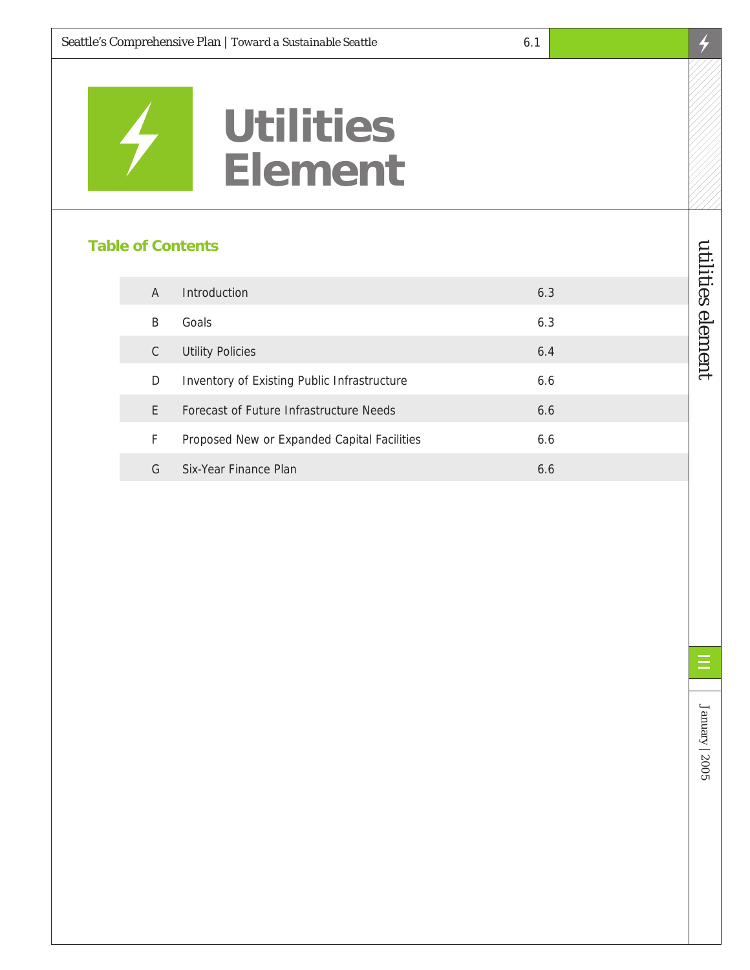

# **Utilities Element**

#### **Table of Contents**

| A  | Introduction                                | 6.3 |
|----|---------------------------------------------|-----|
| B  | Goals                                       | 6.3 |
| C  | <b>Utility Policies</b>                     | 6.4 |
| D  | Inventory of Existing Public Infrastructure | 6.6 |
| F. | Forecast of Future Infrastructure Needs     | 6.6 |
| F  | Proposed New or Expanded Capital Facilities | 6.6 |
| G  | Six-Year Finance Plan                       | 6.6 |

utilities element

utilities element

 $\overline{\mathcal{F}}$ 

January | 2005

January | 2005

E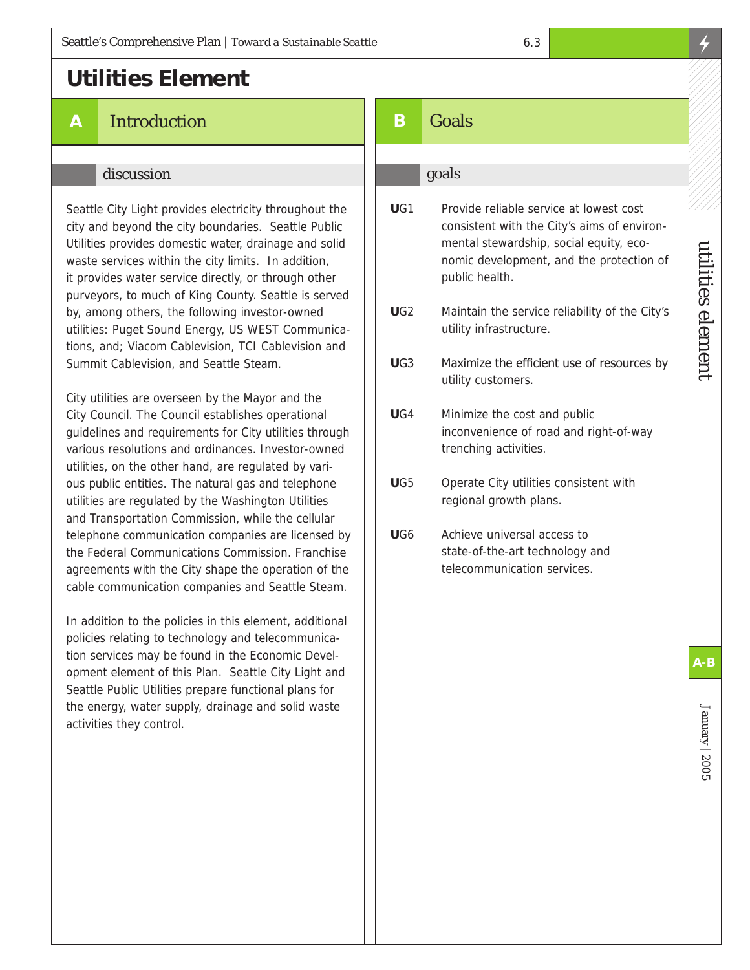## **Utilities Element**

**A** Introduction

#### discussion

Seattle City Light provides electricity throughout the city and beyond the city boundaries. Seattle Public Utilities provides domestic water, drainage and solid waste services within the city limits. In addition, it provides water service directly, or through other purveyors, to much of King County. Seattle is served by, among others, the following investor-owned utilities: Puget Sound Energy, US WEST Communications, and; Viacom Cablevision, TCI Cablevision and Summit Cablevision, and Seattle Steam.

City utilities are overseen by the Mayor and the City Council. The Council establishes operational guidelines and requirements for City utilities through various resolutions and ordinances. Investor-owned utilities, on the other hand, are regulated by various public entities. The natural gas and telephone utilities are regulated by the Washington Utilities and Transportation Commission, while the cellular telephone communication companies are licensed by the Federal Communications Commission. Franchise agreements with the City shape the operation of the cable communication companies and Seattle Steam.

In addition to the policies in this element, additional policies relating to technology and telecommunication services may be found in the Economic Development element of this Plan. Seattle City Light and Seattle Public Utilities prepare functional plans for the energy, water supply, drainage and solid waste activities they control.

## **B** Goals

#### goals

- **U**G1 Provide reliable service at lowest cost consistent with the City's aims of environmental stewardship, social equity, economic development, and the protection of public health.
- **U**G2 Maintain the service reliability of the City's utility infrastructure.
- **U**G3 Maximize the efficient use of resources by utility customers.
- **U**G4 Minimize the cost and public inconvenience of road and right-of-way trenching activities.
- **U**G5 Operate City utilities consistent with regional growth plans.
- **U**G6 Achieve universal access to state-of-the-art technology and telecommunication services.

**A-B**

utilities element

utilities element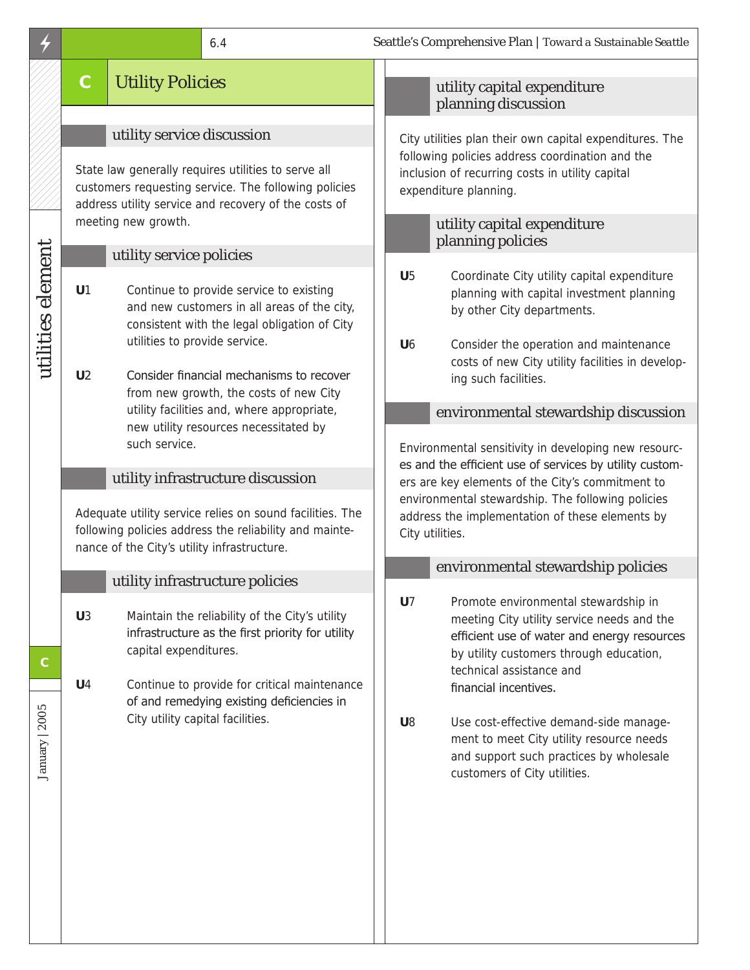# **C** Utility Policies

## utility service discussion

State law generally requires utilities to serve all customers requesting service. The following policies address utility service and recovery of the costs of meeting new growth.

## utility service policies

**U**1 Continue to provide service to existing and new customers in all areas of the city, consistent with the legal obligation of City utilities to provide service.

**U**2 Consider financial mechanisms to recover from new growth, the costs of new City utility facilities and, where appropriate, new utility resources necessitated by such service.

## utility infrastructure discussion

Adequate utility service relies on sound facilities. The following policies address the reliability and maintenance of the City's utility infrastructure.

## utility infrastructure policies

- **U**3 Maintain the reliability of the City's utility infrastructure as the first priority for utility capital expenditures.
- **U**4 Continue to provide for critical maintenance of and remedying existing deficiencies in City utility capital facilities.

## utility capital expenditure planning discussion

City utilities plan their own capital expenditures. The following policies address coordination and the inclusion of recurring costs in utility capital expenditure planning.

## utility capital expenditure planning policies

- **U**5 Coordinate City utility capital expenditure planning with capital investment planning by other City departments.
- **U**6 Consider the operation and maintenance costs of new City utility facilities in developing such facilities.

## environmental stewardship discussion

Environmental sensitivity in developing new resources and the efficient use of services by utility customers are key elements of the City's commitment to environmental stewardship. The following policies address the implementation of these elements by City utilities.

## environmental stewardship policies

- **U**7 Promote environmental stewardship in meeting City utility service needs and the efficient use of water and energy resources by utility customers through education, technical assistance and financial incentives.
- **U**8 Use cost-effective demand-side management to meet City utility resource needs and support such practices by wholesale customers of City utilities.

utilities element

utilities element

January | 2005

January | 2005

**C**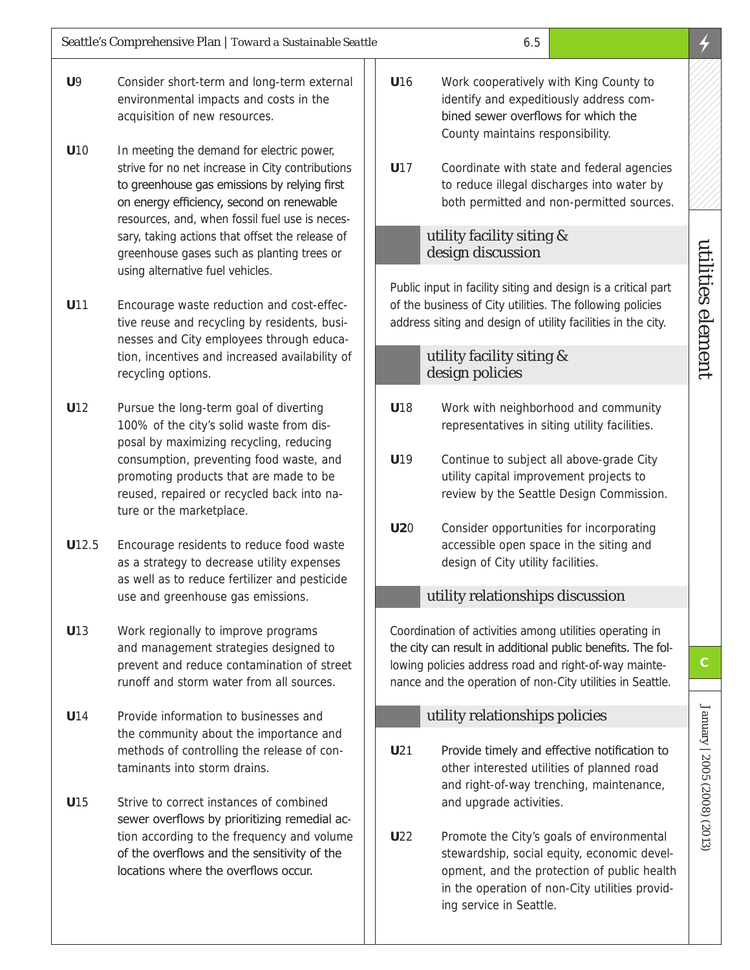- **U**9 Consider short-term and long-term external environmental impacts and costs in the acquisition of new resources.
- U<sub>10</sub> In meeting the demand for electric power, strive for no net increase in City contributions to greenhouse gas emissions by relying first on energy efficiency, second on renewable resources, and, when fossil fuel use is necessary, taking actions that offset the release of greenhouse gases such as planting trees or using alternative fuel vehicles.
- **U**11 Encourage waste reduction and cost-effective reuse and recycling by residents, businesses and City employees through education, incentives and increased availability of recycling options.
- **U**12 Pursue the long-term goal of diverting 100% of the city's solid waste from disposal by maximizing recycling, reducing consumption, preventing food waste, and promoting products that are made to be reused, repaired or recycled back into nature or the marketplace.
- **U**12.5 Encourage residents to reduce food waste as a strategy to decrease utility expenses as well as to reduce fertilizer and pesticide use and greenhouse gas emissions.
- **U**13 Work regionally to improve programs and management strategies designed to prevent and reduce contamination of street runoff and storm water from all sources.
- **U**14 Provide information to businesses and the community about the importance and methods of controlling the release of contaminants into storm drains.
- **U**15 Strive to correct instances of combined sewer overflows by prioritizing remedial action according to the frequency and volume of the overflows and the sensitivity of the locations where the overflows occur.
- **U**16 Work cooperatively with King County to identify and expeditiously address combined sewer overflows for which the County maintains responsibility.
- **U**17 Coordinate with state and federal agencies to reduce illegal discharges into water by both permitted and non-permitted sources.

#### utility facility siting & design discussion

Public input in facility siting and design is a critical part of the business of City utilities. The following policies address siting and design of utility facilities in the city.

#### utility facility siting & design policies

- **U**18 Work with neighborhood and community representatives in siting utility facilities.
- **U**19 Continue to subject all above-grade City utility capital improvement projects to review by the Seattle Design Commission.
- **U2**0 Consider opportunities for incorporating accessible open space in the siting and design of City utility facilities.

#### utility relationships discussion

Coordination of activities among utilities operating in the city can result in additional public benefits. The following policies address road and right-of-way maintenance and the operation of non-City utilities in Seattle.

#### utility relationships policies

- **U21** Provide timely and effective notification to other interested utilities of planned road and right-of-way trenching, maintenance, and upgrade activities.
- **U**22 Promote the City's goals of environmental stewardship, social equity, economic development, and the protection of public health in the operation of non-City utilities providing service in Seattle.

January | 2005 (2008) (2013)

January | 2005 (2008) (2013)

**C**